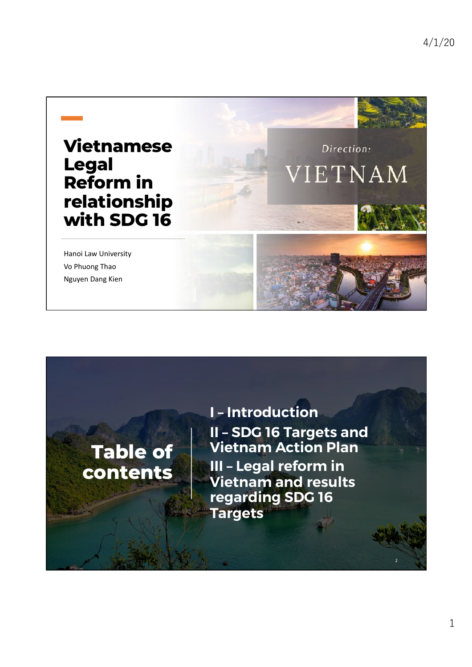

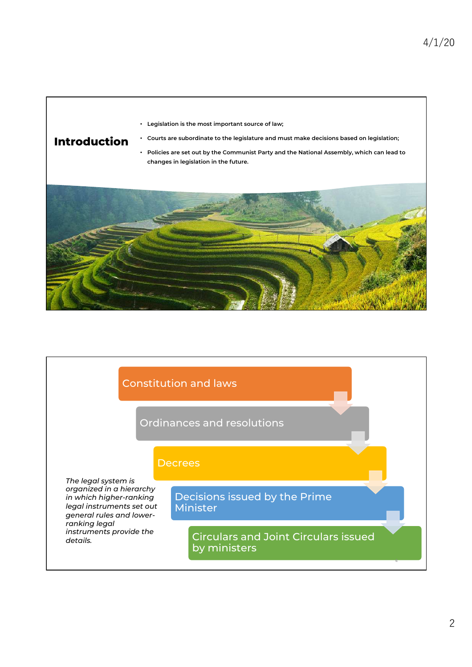## Introduction

• Legislation is the most important source of law;

- Courts are subordinate to the legislature and must make decisions based on legislation; • Policies are set out by the Communist Party and the National Assembly, which can lead to
- changes in legislation in the future.



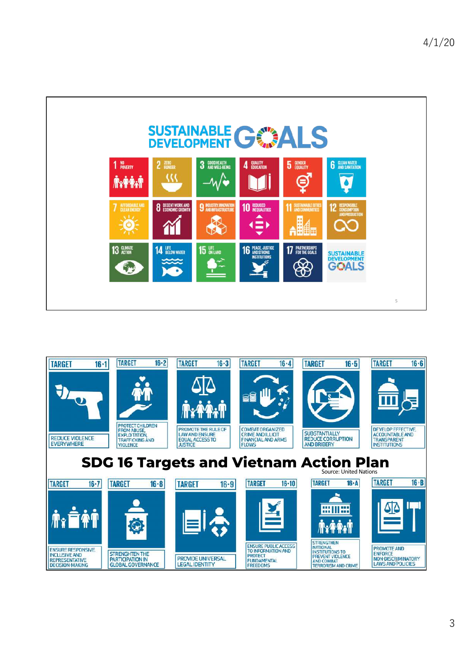

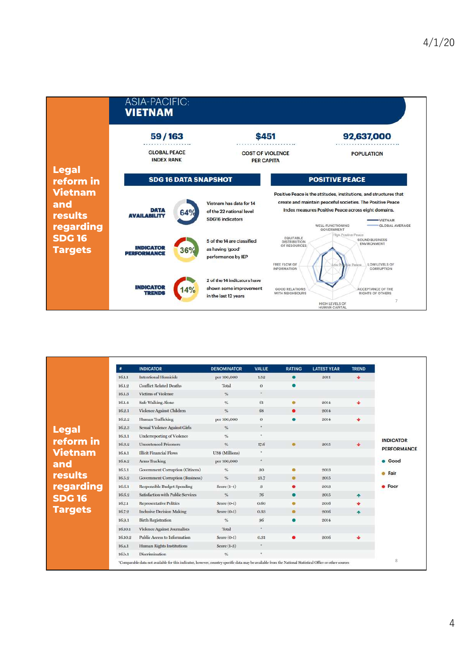|                                                      | ASIA-PACIFIC:<br><b>VIETNAM</b>               |                                                                                     |                                                                                                                                                                                                                                                                      |                                                                                                    |  |  |  |
|------------------------------------------------------|-----------------------------------------------|-------------------------------------------------------------------------------------|----------------------------------------------------------------------------------------------------------------------------------------------------------------------------------------------------------------------------------------------------------------------|----------------------------------------------------------------------------------------------------|--|--|--|
|                                                      | 59/163                                        |                                                                                     | \$451                                                                                                                                                                                                                                                                | 92,637,000                                                                                         |  |  |  |
|                                                      | <b>GLOBAL PEACE</b><br><b>INDEX RANK</b>      |                                                                                     | <b>COST OF VIOLENCE</b><br><b>PER CAPITA</b>                                                                                                                                                                                                                         | <b>POPULATION</b>                                                                                  |  |  |  |
| <b>Legal</b><br>reform in                            | <b>SDG 16 DATA SNAPSHOT</b>                   |                                                                                     | <b>POSITIVE PEACE</b>                                                                                                                                                                                                                                                |                                                                                                    |  |  |  |
| <b>Vietnam</b><br>and<br><b>results</b><br>regarding | DATA<br>64%<br><b>AVAILARILITY</b>            | Vietnam has data for 14<br>of the 22 national level<br><b>SDG16</b> indicators      | Positive Peace is the attitudes, institutions, and structures that<br>create and maintain peaceful societies. The Positive Peace<br>Index measures Positive Peace across eight domains.<br><b>VIETNAM</b><br>WELL-FUNCTIONING<br><b>GLOBAL AVERAGE</b><br>GOVERNMENT |                                                                                                    |  |  |  |
| <b>SDG 16</b><br><b>Targets</b>                      | <b>INDICATOR</b><br>36%<br><b>PERFORMANCE</b> | 5 of the 14 are classified<br>as having 'good'<br>performance by IEP                | <b>EQUITABLE</b><br><b>DISTRIBUTION</b><br>OF RESOURCES<br><b>FREE FLOW OF</b>                                                                                                                                                                                       | High Positive Peace<br><b>SOUND BUSINESS</b><br>ENVIRONMENT<br><b>LOW LEVELS OF</b><br>tive Peace  |  |  |  |
|                                                      | <b>INDICATOR</b><br><b>TRENDS</b>             | 2 of the 14 indicators have<br>shown some improvement<br>4%<br>in the last 12 years | <b>INFORMATION</b><br><b>GOOD RELATIONS</b><br>WITH NEIGHBOURS                                                                                                                                                                                                       | CORRUPTION<br>ACCEPTANCE OF THE<br>RIGHTS OF OTHERS<br>7<br>HIGH LEVELS OF<br><b>HUMAN CAPITAL</b> |  |  |  |

| $\ddot{\phantom{1}}$ | <b>INDICATOR</b>                   | <b>DENOMINATOR</b> | <b>VALUE</b> | <b>RATING</b> | <b>LATEST YEAR</b> | <b>TREND</b>         |                    |
|----------------------|------------------------------------|--------------------|--------------|---------------|--------------------|----------------------|--------------------|
| 16.1.1               | <b>Intentional Homicide</b>        | per 100,000        | 1.52         |               | 2011               | $\ddot{\phantom{1}}$ |                    |
| 16.1.2               | <b>Conflict Related Deaths</b>     | Total              | $\Omega$     |               |                    |                      |                    |
| 16.1.3               | Victims of Violence                | $96^{\circ}$       | ٠            |               |                    |                      |                    |
| 16.1.4               | Safe Walking Alone                 | $\%$               | 61           |               | 2014               |                      |                    |
| 16.2.1               | Violence Against Children          | $\%$               | 68           |               | 2014               |                      |                    |
| 16.2.2               | Human Trafficking                  | per 100,000        | $\alpha$     |               | 2014               | ÷                    |                    |
| 16.2.3               | Sexual Violence Against Girls      | $\%$               | ×.           |               |                    |                      |                    |
| 16.3.1               | Underreporting of Violence         | $\frac{1}{2}$      | ×            |               |                    |                      | <b>INDICATOR</b>   |
| 16.3.2               | <b>Unsentenced Prisoners</b>       | $\%$               | 17.6         | ۰             | 2015               | ٠                    | <b>PERFORMANCE</b> |
| 16.4.1               | <b>Illicit Financial Flows</b>     | US\$ (Millions)    |              |               |                    |                      |                    |
| 16.4.2               | Arms Tracking                      | per 100,000        | ٠            |               |                    |                      | <b>e</b> Good      |
| 16.5.1               | Government Corruption (Citizens)   | %                  | 30           |               | 2013               |                      | · Fair             |
| 16.5.2               | Government Corruption (Business)   | $\%$               | 91.7         | ٠             | 2015               |                      |                    |
| 16.6.1               | <b>Responsible Budget Spending</b> | Score $(1-4)$      | $\mathbf{3}$ |               | 2013               |                      | <b>Poor</b>        |
| 16.6.2               | Satisfaction with Public Services  | $\frac{m}{2}$      | 76           |               | 2015               | $\blacktriangle$     |                    |
| 16.7.1               | <b>Representative Politics</b>     | Score $(0-1)$      | 0.60         |               | 2016               |                      |                    |
| 16.7.2               | <b>Inclusive Decision Making</b>   | Score $(0-1)$      | 0.33         | ۰             | 2016               |                      |                    |
| 16.9.1               | Birth Registration                 | $\%$               | 96           |               | 2014               |                      |                    |
| 16.10.1              | Violence Against Journalists       | Total              | $\bullet.$   |               |                    |                      |                    |
| 16.10.2              | Public Access to Information       | Score (0-1)        | 0.31         | ٠             | 2016               | s                    |                    |
| 16.a.1               | <b>Human Rights Institutions</b>   | Score $(1-3)$      | $\bullet$    |               |                    |                      |                    |
| 16.b.1               | Discrimination                     | $\%$               |              |               |                    |                      |                    |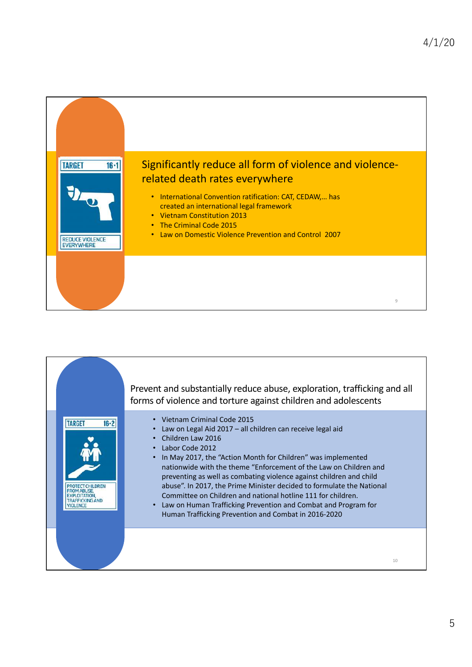

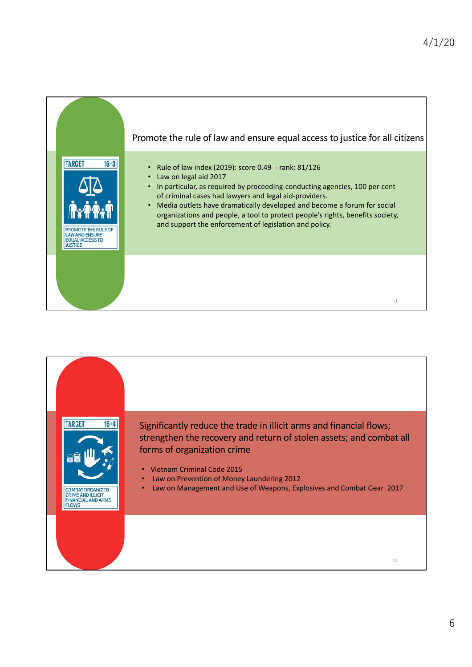

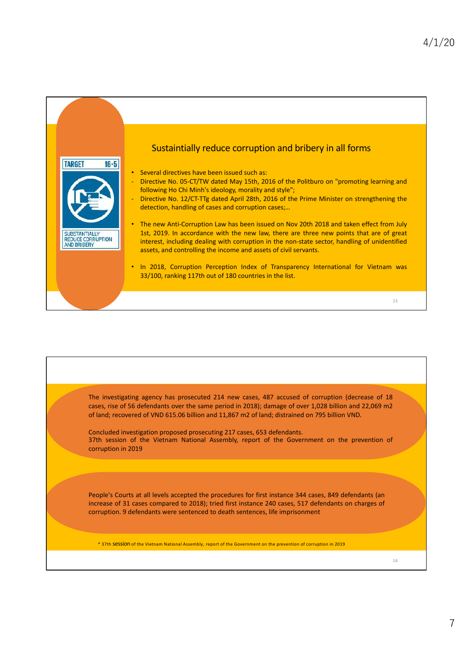

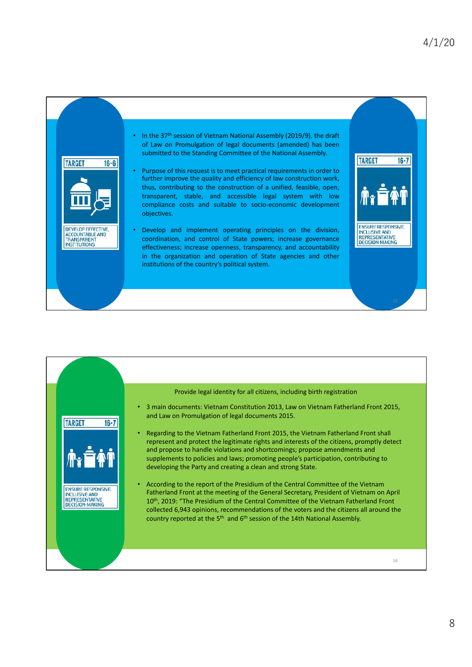

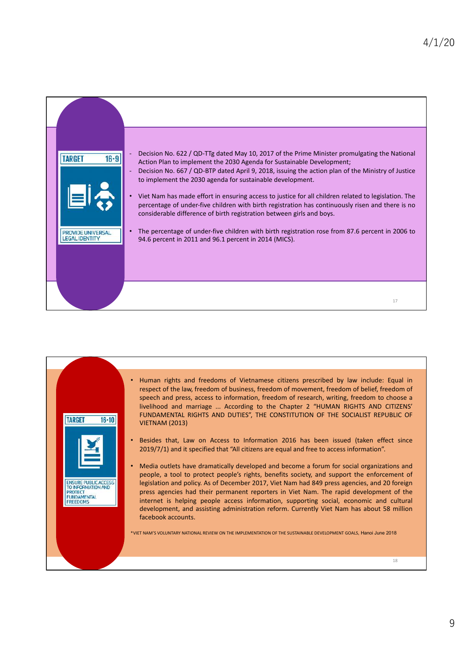

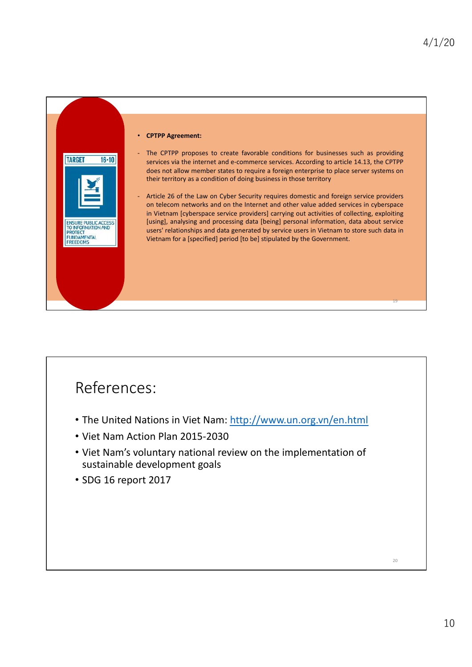

## References:

- The United Nations in [Viet Nam: http://www.un.org.v](http://www.un.org.vn/en.html)n/en.html
- Viet Nam Action Plan 2015-2030
- Viet Nam's voluntary national review on the implementation of sustainable development goals
- SDG 16 report 2017